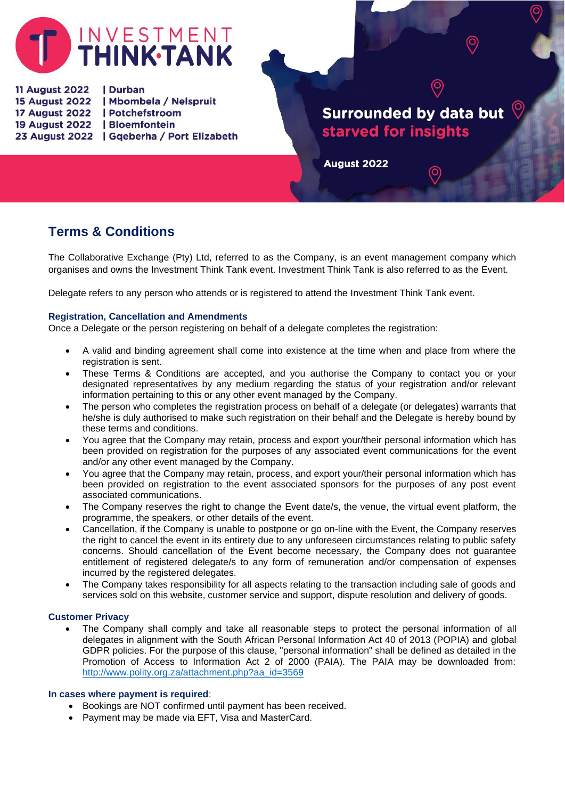

**11 August 2022** | Durban 15 August 2022 | Mbombela / Nelspruit 17 August 2022 | Potchefstroom 19 August 2022 | Bloemfontein 23 August 2022 | Gqeberha / Port Elizabeth

# **Surrounded by data but** starved for insights

9

August 2022

# **Terms & Conditions**

The Collaborative Exchange (Pty) Ltd, referred to as the Company, is an event management company which organises and owns the Investment Think Tank event. Investment Think Tank is also referred to as the Event.

Delegate refers to any person who attends or is registered to attend the Investment Think Tank event.

# **Registration, Cancellation and Amendments**

Once a Delegate or the person registering on behalf of a delegate completes the registration:

- A valid and binding agreement shall come into existence at the time when and place from where the registration is sent.
- These Terms & Conditions are accepted, and you authorise the Company to contact you or your designated representatives by any medium regarding the status of your registration and/or relevant information pertaining to this or any other event managed by the Company.
- The person who completes the registration process on behalf of a delegate (or delegates) warrants that he/she is duly authorised to make such registration on their behalf and the Delegate is hereby bound by these terms and conditions.
- You agree that the Company may retain, process and export your/their personal information which has been provided on registration for the purposes of any associated event communications for the event and/or any other event managed by the Company.
- You agree that the Company may retain, process, and export your/their personal information which has been provided on registration to the event associated sponsors for the purposes of any post event associated communications.
- The Company reserves the right to change the Event date/s, the venue, the virtual event platform, the programme, the speakers, or other details of the event.
- Cancellation, if the Company is unable to postpone or go on-line with the Event, the Company reserves the right to cancel the event in its entirety due to any unforeseen circumstances relating to public safety concerns. Should cancellation of the Event become necessary, the Company does not guarantee entitlement of registered delegate/s to any form of remuneration and/or compensation of expenses incurred by the registered delegates.
- The Company takes responsibility for all aspects relating to the transaction including sale of goods and services sold on this website, customer service and support, dispute resolution and delivery of goods.

# **Customer Privacy**

• The Company shall comply and take all reasonable steps to protect the personal information of all delegates in alignment with the South African Personal Information Act 40 of 2013 (POPIA) and global GDPR policies. For the purpose of this clause, "personal information" shall be defined as detailed in the Promotion of Access to Information Act 2 of 2000 (PAIA). The PAIA may be downloaded from: [http://www.polity.org.za/attachment.php?aa\\_id=3569](http://www.polity.org.za/attachment.php?aa_id=3569)

# **In cases where payment is required**:

- Bookings are NOT confirmed until payment has been received.
- Payment may be made via EFT, Visa and MasterCard.